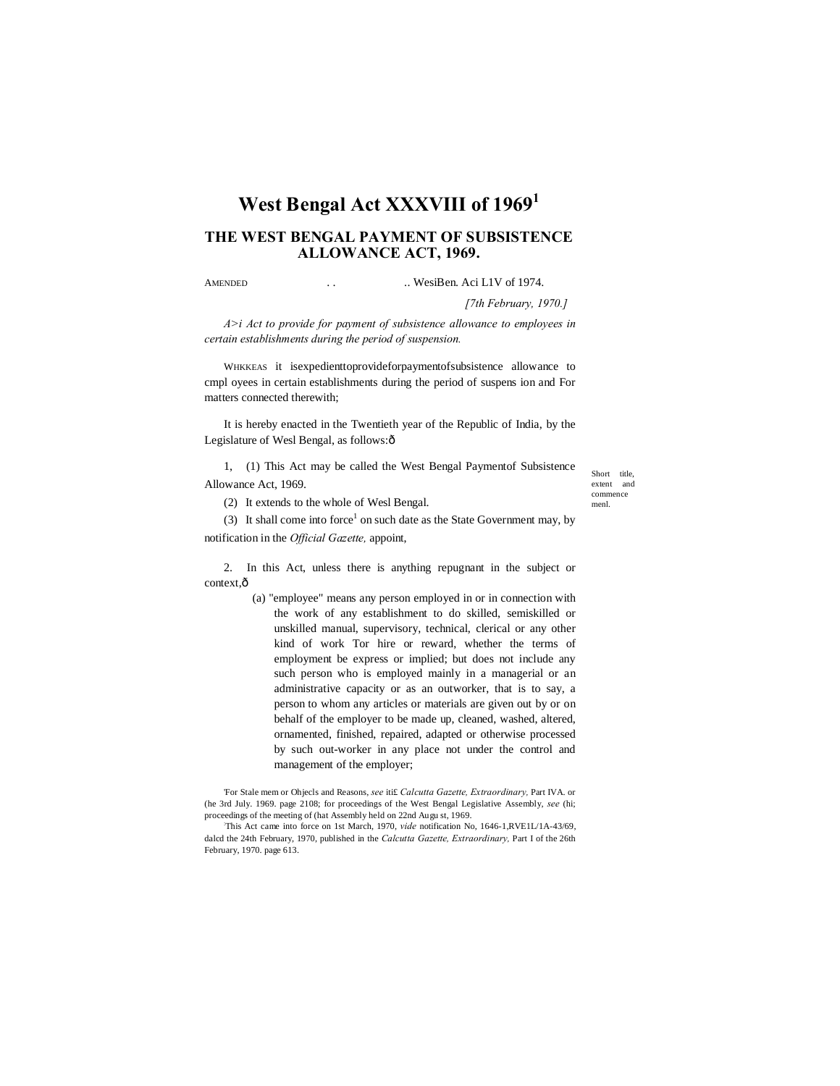# **West Bengal Act XXXVIII of 1969<sup>1</sup>**

# **THE WEST BENGAL PAYMENT OF SUBSISTENCE ALLOWANCE ACT, 1969.**

AMENDED . . .. WesiBen. Aci L1V of 1974.

*[7th February, 1970.]*

*A>i Act to provide for payment of subsistence allowance to employees in certain establishments during the period of suspension.*

WHKKEAS it isexpedienttoprovideforpaymentofsubsistence allowance to cmpl oyees in certain establishments during the period of suspens ion and For matters connected therewith;

It is hereby enacted in the Twentieth year of the Republic of India, by the Legislature of Wesl Bengal, as follows: $\hat{o}$ 

1, (1) This Act may be called the West Bengal Paymentof Subsistence Allowance Act, 1969.

(2) It extends to the whole of Wesl Bengal.

(3) It shall come into force<sup>1</sup> on such date as the State Government may, by notification in the *Official Gazette,* appoint,

2. In this Act, unless there is anything repugnant in the subject or context, $\hat{o}$ 

> (a) "employee" means any person employed in or in connection with the work of any establishment to do skilled, semiskilled or unskilled manual, supervisory, technical, clerical or any other kind of work Tor hire or reward, whether the terms of employment be express or implied; but does not include any such person who is employed mainly in a managerial or an administrative capacity or as an outworker, that is to say, a person to whom any articles or materials are given out by or on behalf of the employer to be made up, cleaned, washed, altered, ornamented, finished, repaired, adapted or otherwise processed by such out-worker in any place not under the control and management of the employer;

'For Stale mem or Ohjecls and Reasons, *see* iti£ *Calcutta Gazette, Extraordinary,* Part IVA. or (he 3rd July. 1969. page 2108; for proceedings of the West Bengal Legislative Assembly, *see* (hi; proceedings of the meeting of (hat Assembly held on 22nd Augu st, 1969.

: This Act came into force on 1st March, 1970, *vide* notification No, 1646-1,RVE1L/1A-43/69, dalcd the 24th February, 1970, published in the *Calcutta Gazette, Extraordinary,* Part I of the 26th February, 1970. page 613.

Short title, extent and commence menl.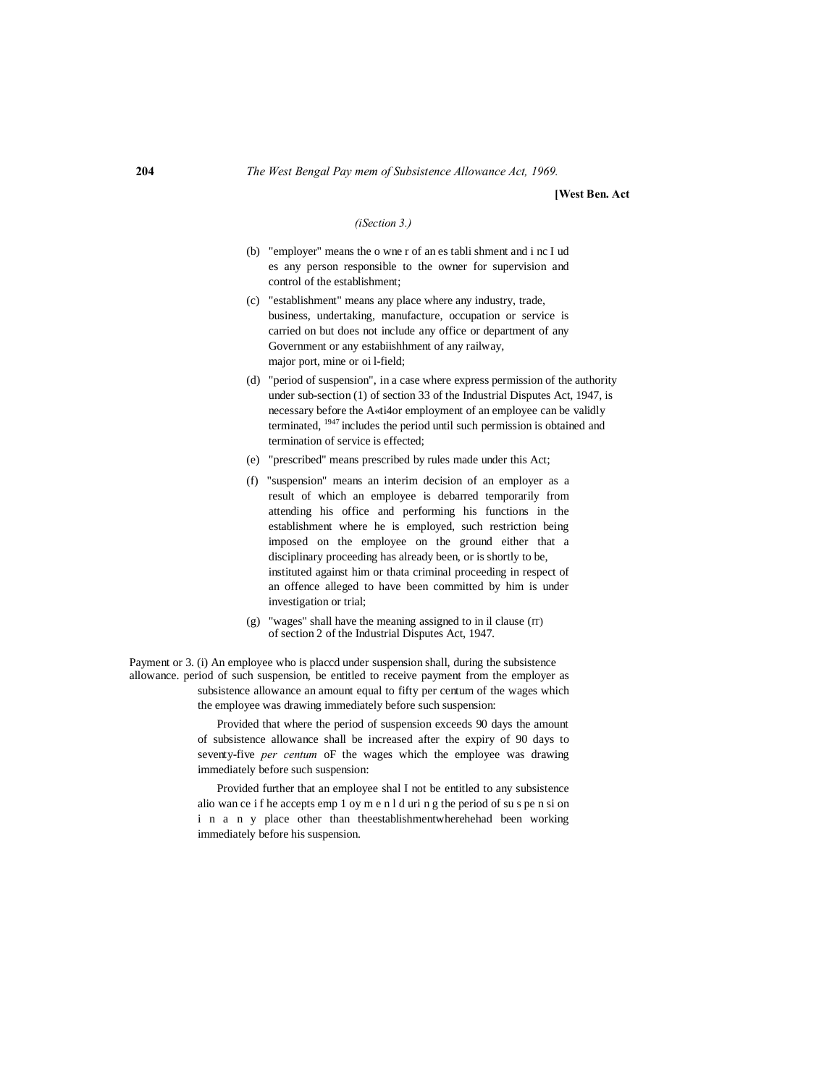#### **204** *The West Bengal Pay mem of Subsistence Allowance Act, 1969.*

#### **[West Ben. Act**

#### *(iSection 3.)*

- (b) "employer" means the o wne r of an es tabli shment and i nc I ud es any person responsible to the owner for supervision and control of the establishment;
- (c) "establishment" means any place where any industry, trade, business, undertaking, manufacture, occupation or service is carried on but does not include any office or department of any Government or any estabiishhment of any railway, major port, mine or oi l-field;
- (d) "period of suspension", in a case where express permission of the authority under sub-section (1) of section 33 of the Industrial Disputes Act, 1947, is necessary before the A«ti4or employment of an employee can be validly terminated, 1947 includes the period until such permission is obtained and termination of service is effected;
- (e) "prescribed" means prescribed by rules made under this Act;
- (f) "suspension" means an interim decision of an employer as a result of which an employee is debarred temporarily from attending his office and performing his functions in the establishment where he is employed, such restriction being imposed on the employee on the ground either that a disciplinary proceeding has already been, or is shortly to be, instituted against him or thata criminal proceeding in respect of an offence alleged to have been committed by him is under investigation or trial;
- $(g)$  "wages" shall have the meaning assigned to in il clause  $(IT)$ of section 2 of the Industrial Disputes Act, 1947.

Payment or 3. (i) An employee who is placcd under suspension shall, during the subsistence allowance. period of such suspension, be entitled to receive payment from the employer as subsistence allowance an amount equal to fifty per centum of the wages which the employee was drawing immediately before such suspension:

> Provided that where the period of suspension exceeds 90 days the amount of subsistence allowance shall be increased after the expiry of 90 days to seventy-five *per centum* oF the wages which the employee was drawing immediately before such suspension:

> Provided further that an employee shal I not be entitled to any subsistence alio wan ce i f he accepts emp 1 oy m e n l d uri n g the period of su s pe n si on i n a n y place other than theestablishmentwherehehad been working immediately before his suspension.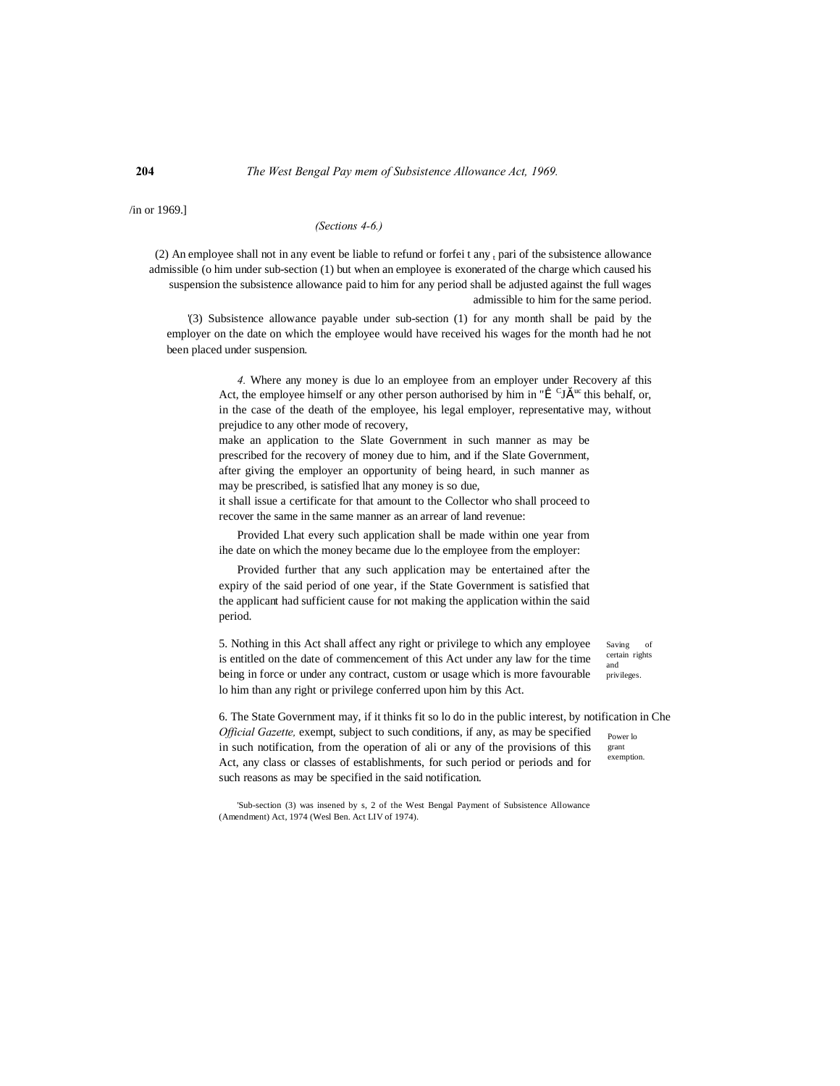### **204** *The West Bengal Pay mem of Subsistence Allowance Act, 1969.*

/in or 1969.]

## *(Sections 4-6.)*

(2) An employee shall not in any event be liable to refund or forfei t any  $<sub>t</sub>$  pari of the subsistence allowance</sub> admissible (o him under sub-section (1) but when an employee is exonerated of the charge which caused his suspension the subsistence allowance paid to him for any period shall be adjusted against the full wages admissible to him for the same period.

'(3) Subsistence allowance payable under sub-section (1) for any month shall be paid by the employer on the date on which the employee would have received his wages for the month had he not been placed under suspension.

> *4.* Where any money is due lo an employee from an employer under Recovery af this Act, the employee himself or any other person authorised by him in " $\hat{I}^{\text{C}}$  Jš <sup>uc</sup> this behalf, or, in the case of the death of the employee, his legal employer, representative may, without prejudice to any other mode of recovery,

make an application to the Slate Government in such manner as may be prescribed for the recovery of money due to him, and if the Slate Government, after giving the employer an opportunity of being heard, in such manner as may be prescribed, is satisfied lhat any money is so due,

it shall issue a certificate for that amount to the Collector who shall proceed to recover the same in the same manner as an arrear of land revenue:

Provided Lhat every such application shall be made within one year from ihe date on which the money became due lo the employee from the employer:

Provided further that any such application may be entertained after the expiry of the said period of one year, if the State Government is satisfied that the applicant had sufficient cause for not making the application within the said period.

5. Nothing in this Act shall affect any right or privilege to which any employee is entitled on the date of commencement of this Act under any law for the time being in force or under any contract, custom or usage which is more favourable lo him than any right or privilege conferred upon him by this Act.

Saving of certain rights and privileges.

Power lo grant exemption. 6. The State Government may, if it thinks fit so lo do in the public interest, by notification in Che *Official Gazette,* exempt, subject to such conditions, if any, as may be specified in such notification, from the operation of ali or any of the provisions of this Act, any class or classes of establishments, for such period or periods and for such reasons as may be specified in the said notification.

'Sub-section (3) was insened by s, 2 of the West Bengal Payment of Subsistence Allowance (Amendment) Act, 1974 (Wesl Ben. Act LIV of 1974).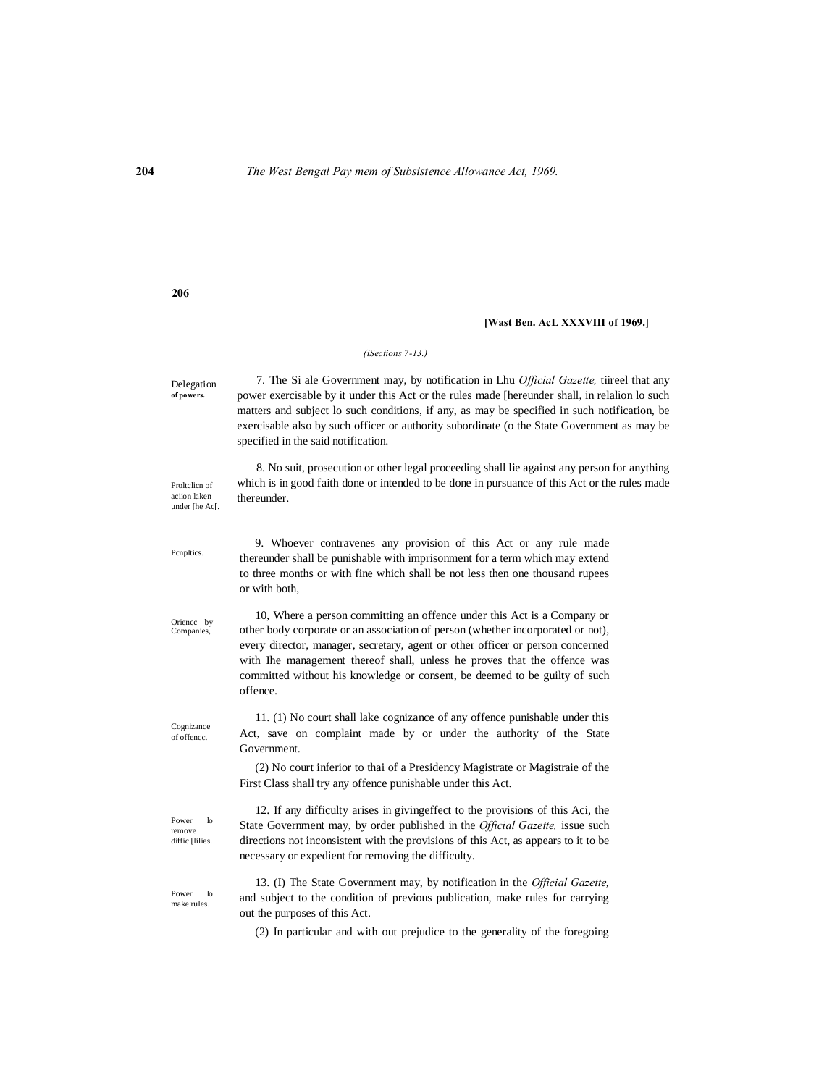#### **[Wast Ben. AcL XXXVIII of 1969.]**

#### *(iSections 7-13.)*

Delegation **of powers.** 7. The Si ale Government may, by notification in Lhu *Official Gazette,* tiireel that any power exercisable by it under this Act or the rules made [hereunder shall, in relalion lo such matters and subject lo such conditions, if any, as may be specified in such notification, be exercisable also by such officer or authority subordinate (o the State Government as may be specified in the said notification.

Proltclicn of aciion laken under [he Ac[. 8. No suit, prosecution or other legal proceeding shall lie against any person for anything which is in good faith done or intended to be done in pursuance of this Act or the rules made thereunder.

> 9. Whoever contravenes any provision of this Act or any rule made thereunder shall be punishable with imprisonment for a term which may extend to three months or with fine which shall be not less then one thousand rupees or with both,

> 10, Where a person committing an offence under this Act is a Company or other body corporate or an association of person (whether incorporated or not), every director, manager, secretary, agent or other officer or person concerned with Ihe management thereof shall, unless he proves that the offence was committed without his knowledge or consent, be deemed to be guilty of such offence.

> 11. (1) No court shall lake cognizance of any offence punishable under this Act, save on complaint made by or under the authority of the State Government.

> (2) No court inferior to thai of a Presidency Magistrate or Magistraie of the First Class shall try any offence punishable under this Act.

> 12. If any difficulty arises in givingeffect to the provisions of this Aci, the State Government may, by order published in the *Official Gazette,* issue such directions not inconsistent with the provisions of this Act, as appears to it to be necessary or expedient for removing the difficulty.

> 13. (I) The State Government may, by notification in the *Official Gazette,* and subject to the condition of previous publication, make rules for carrying out the purposes of this Act.

(2) In particular and with out prejudice to the generality of the foregoing

**206**

Oriencc by Companies,

Pcnpltics.

Cognizance of offencc.

Power lo remove diffic [lilies.

Power lo make rules.